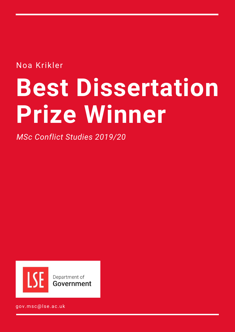Noa Krikler

# **Best Dissertation Prize Winner**

*MSc Conflict Studies 2019/20*



gov.msc@lse.ac.uk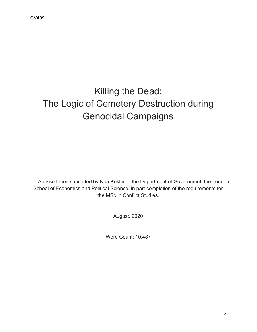## Killing the Dead: The Logic of Cemetery Destruction during Genocidal Campaigns

A dissertation submitted by Noa Krikler to the Department of Government, the London School of Economics and Political Science, in part completion of the requirements for the MSc in Conflict Studies.

August, 2020

Word Count: 10,487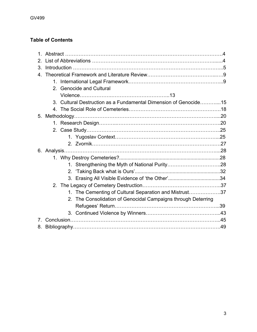### **Candidate Security Contents**

| 2.             |                                                                  |  |
|----------------|------------------------------------------------------------------|--|
| 3.             |                                                                  |  |
| $4_{-}$        |                                                                  |  |
|                |                                                                  |  |
|                | 2. Genocide and Cultural                                         |  |
|                |                                                                  |  |
|                | 3. Cultural Destruction as a Fundamental Dimension of Genocide15 |  |
|                |                                                                  |  |
| 5 <sub>1</sub> |                                                                  |  |
|                |                                                                  |  |
|                |                                                                  |  |
|                |                                                                  |  |
|                |                                                                  |  |
|                |                                                                  |  |
|                |                                                                  |  |
|                |                                                                  |  |
|                |                                                                  |  |
|                |                                                                  |  |
|                |                                                                  |  |
|                | 1. The Cementing of Cultural Separation and Mistrust37           |  |
|                | 2. The Consolidation of Genocidal Campaigns through Deterring    |  |
|                |                                                                  |  |
|                |                                                                  |  |
|                |                                                                  |  |
| 8.             |                                                                  |  |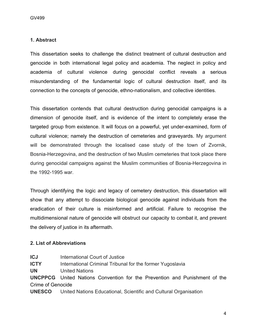#### **1. Abstract** Candidate Number: 39454

This dissertation seeks to challenge the distinct treatment of cultural destruction and genocide in both international legal policy and academia. The neglect in policy and academia of cultural violence during genocidal conflict reveals a serious misunderstanding of the fundamental logic of cultural destruction itself, and its connection to the concepts of genocide, ethno-nationalism, and collective identities.

This dissertation contends that cultural destruction during genocidal campaigns is a dimension of genocide itself, and is evidence of the intent to completely erase the targeted group from existence. It will focus on a powerful, yet under-examined, form of cultural violence; namely the destruction of cemeteries and graveyards. My argument will be demonstrated through the localised case study of the town of Zvornik, Bosnia-Herzegovina, and the destruction of two Muslim cemeteries that took place there during genocidal campaigns against the Muslim communities of Bosnia-Herzegovina in the 1992-1995 war.

Through identifying the logic and legacy of cemetery destruction, this dissertation will show that any attempt to dissociate biological genocide against individuals from the eradication of their culture is misinformed and artificial. Failure to recognise the multidimensional nature of genocide will obstruct our capacity to combat it, and prevent the delivery of justice in its aftermath.

#### **2. List of Abbreviations**

**ICJ** International Court of Justice **ICTY** International Criminal Tribunal for the former Yugoslavia **UN** United Nations **UNCPPCG** United Nations Convention for the Prevention and Punishment of the Crime of Genocide **UNESCO** United Nations Educational, Scientific and Cultural Organisation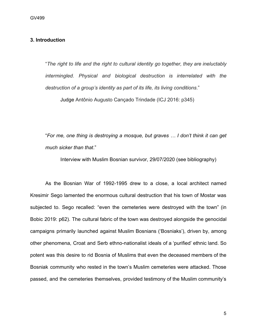#### **3. Introduction**

"*The right to life and the right to cultural identity go together, they are ineluctably intermingled. Physical and biological destruction is interrelated with the destruction of a group's identity as part of its life, its living conditions*."

Judge Antônio Augusto Cançado Trindade (ICJ 2016: p345)

"*For me, one thing is destroying a mosque, but graves … I don't think it can get much sicker than that*."

Interview with Muslim Bosnian survivor, 29/07/2020 (see bibliography)

As the Bosnian War of 1992-1995 drew to a close, a local architect named Kresimir Sego lamented the enormous cultural destruction that his town of Mostar was subjected to. Sego recalled: "even the cemeteries were destroyed with the town" (in Bobic 2019: p62). The cultural fabric of the town was destroyed alongside the genocidal campaigns primarily launched against Muslim Bosnians ('Bosniaks'), driven by, among other phenomena, Croat and Serb ethno-nationalist ideals of a 'purified' ethnic land. So potent was this desire to rid Bosnia of Muslims that even the deceased members of the Bosniak community who rested in the town's Muslim cemeteries were attacked. Those passed, and the cemeteries themselves, provided testimony of the Muslim community's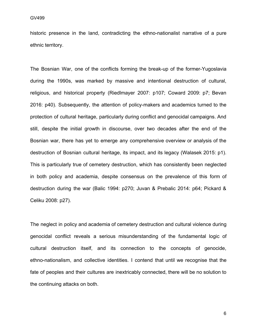historic presence in the land, contradicting the ethno-nationalist narrative of a pure ethnic territory.

The Bosnian War, one of the conflicts forming the break-up of the former-Yugoslavia during the 1990s, was marked by massive and intentional destruction of cultural, religious, and historical property (Riedlmayer 2007: p107; Coward 2009: p7; Bevan 2016: p40). Subsequently, the attention of policy-makers and academics turned to the protection of cultural heritage, particularly during conflict and genocidal campaigns. And still, despite the initial growth in discourse, over two decades after the end of the Bosnian war, there has yet to emerge any comprehensive overview or analysis of the destruction of Bosnian cultural heritage, its impact, and its legacy (Walasek 2015: p1). This is particularly true of cemetery destruction, which has consistently been neglected in both policy and academia, despite consensus on the prevalence of this form of destruction during the war (Balic 1994: p270; Juvan & Prebalic 2014: p64; Pickard & Celiku 2008: p27).

The neglect in policy and academia of cemetery destruction and cultural violence during genocidal conflict reveals a serious misunderstanding of the fundamental logic of cultural destruction itself, and its connection to the concepts of genocide, ethno-nationalism, and collective identities. I contend that until we recognise that the fate of peoples and their cultures are inextricably connected, there will be no solution to the continuing attacks on both.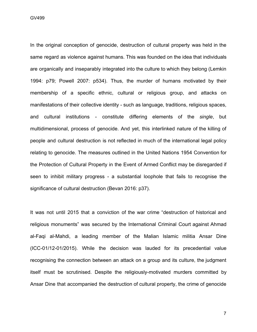GV499 Candidate Number: 39454

In the original conception of genocide, destruction of cultural property was held in the same regard as violence against humans. This was founded on the idea that individuals are organically and inseparably integrated into the culture to which they belong (Lemkin 1994: p79; Powell 2007: p534). Thus, the murder of humans motivated by their membership of a specific ethnic, cultural or religious group, and attacks on manifestations of their collective identity - such as language, traditions, religious spaces, and cultural institutions - constitute differing elements of the *single*, but multidimensional, process of genocide. And yet, this interlinked nature of the killing of people and cultural destruction is not reflected in much of the international legal policy relating to genocide. The measures outlined in the United Nations 1954 Convention for the Protection of Cultural Property in the Event of Armed Conflict may be disregarded if seen to inhibit military progress - a substantial loophole that fails to recognise the significance of cultural destruction (Bevan 2016: p37).

It was not until 2015 that a conviction of the war crime "destruction of historical and religious monuments" was secured by the International Criminal Court against Ahmad al-Faqi al-Mahdi, a leading member of the Malian Islamic militia Ansar Dine (ICC-01/12-01/2015). While the decision was lauded for its precedential value recognising the connection between an attack on a group and its culture, the judgment itself must be scrutinised. Despite the religiously-motivated murders committed by Ansar Dine that accompanied the destruction of cultural property, the crime of genocide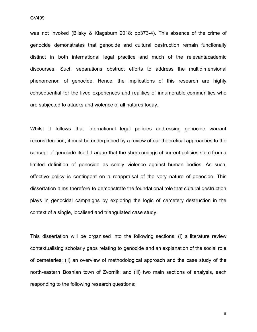was not invoked (Bilsky & Klagsburn 2018: pp373-4). This absence of the crime of genocide demonstrates that genocide and cultural destruction remain functionally distinct in both international legal practice and much of the relevantacademic discourses. Such separations obstruct efforts to address the multidimensional phenomenon of genocide. Hence, the implications of this research are highly consequential for the lived experiences and realities of innumerable communities who are subjected to attacks and violence of all natures today.

Whilst it follows that international legal policies addressing genocide warrant reconsideration, it must be underpinned by a review of our theoretical approaches to the concept of genocide itself. I argue that the shortcomings of current policies stem from a limited definition of genocide as solely violence against human bodies. As such, effective policy is contingent on a reappraisal of the very nature of genocide. This dissertation aims therefore to demonstrate the foundational role that cultural destruction plays in genocidal campaigns by exploring the logic of cemetery destruction in the context of a single, localised and triangulated case study.

This dissertation will be organised into the following sections: (i) a literature review contextualising scholarly gaps relating to genocide and an explanation of the social role of cemeteries; (ii) an overview of methodological approach and the case study of the north-eastern Bosnian town of Zvornik; and (iii) two main sections of analysis, each responding to the following research questions: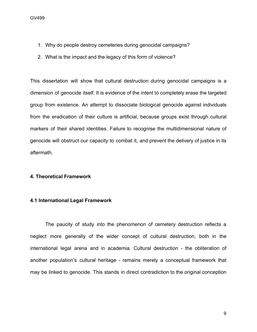- 1. Why do people destroy cemeteries during genocidal campaigns?
- 2. What is the impact and the legacy of this form of violence?

This dissertation will show that cultural destruction during genocidal campaigns is a dimension of genocide itself. It is evidence of the intent to completely erase the targeted group from existence. An attempt to dissociate biological genocide against individuals from the eradication of their culture is artificial, because groups exist through cultural markers of their shared identities. Failure to recognise the multidimensional nature of genocide will obstruct our capacity to combat it, and prevent the delivery of justice in its aftermath.

#### **4. Theoretical Framework**

#### **4.1 International Legal Framework**

The paucity of study into the phenomenon of cemetery destruction reflects a neglect more generally of the wider concept of cultural destruction, both in the international legal arena and in academia. Cultural destruction - the obliteration of another population's cultural heritage - remains merely a conceptual framework that may be linked to genocide. This stands in direct contradiction to the original conception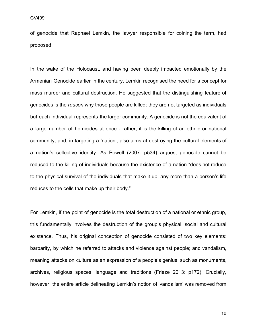of genocide that Raphael Lemkin, the lawyer responsible for coining the term, had proposed.

In the wake of the Holocaust, and having been deeply impacted emotionally by the Armenian Genocide earlier in the century, Lemkin recognised the need for a concept for mass murder and cultural destruction. He suggested that the distinguishing feature of genocides is the *reason* why those people are killed; they are not targeted as individuals but each individual represents the larger community. A genocide is not the equivalent of a large number of homicides at once - rather, it is the killing of an ethnic or national community, and, in targeting a 'nation', also aims at destroying the cultural elements of a nation's collective identity. As Powell (2007: p534) argues, genocide cannot be reduced to the killing of individuals because the existence of a nation "does not reduce to the physical survival of the individuals that make it up, any more than a person's life reduces to the cells that make up their body."

For Lemkin, if the point of genocide is the total destruction of a national or ethnic group, this fundamentally involves the destruction of the group's physical, social and cultural existence. Thus, his original conception of genocide consisted of two key elements: barbarity, by which he referred to attacks and violence against people; and vandalism, meaning attacks on culture as an expression of a people's genius, such as monuments, archives, religious spaces, language and traditions (Frieze 2013: p172). Crucially, however, the entire article delineating Lemkin's notion of 'vandalism' was removed from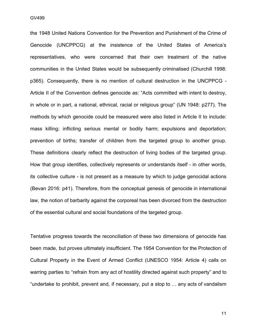the 1948 United Nations Convention for the Prevention and Punishment of the Crime of Genocide (UNCPPCG) at the insistence of the United States of America's representatives, who were concerned that their own treatment of the native communities in the United States would be subsequently criminalised (Churchill 1998: p365). Consequently, there is no mention of cultural destruction in the UNCPPCG - Article II of the Convention defines genocide as: "Acts committed with intent to destroy, in whole or in part, a national, ethnical, racial or religious group" (UN 1948: p277). The methods by which genocide could be measured were also listed in Article II to include: mass killing; inflicting serious mental or bodily harm; expulsions and deportation; prevention of births; transfer of children from the targeted group to another group. These definitions clearly reflect the destruction of living bodies of the targeted group. How that group identifies, collectively represents or understands itself - in other words, its collective culture - is not present as a measure by which to judge genocidal actions (Bevan 2016: p41). Therefore, from the conceptual genesis of genocide in international law, the notion of barbarity against the corporeal has been divorced from the destruction of the essential cultural and social foundations of the targeted group.

Tentative progress towards the reconciliation of these two dimensions of genocide has been made, but proves ultimately insufficient. The 1954 Convention for the Protection of Cultural Property in the Event of Armed Conflict (UNESCO 1954: Article 4) calls on warring parties to "refrain from any act of hostility directed against such property" and to "undertake to prohibit, prevent and, if necessary, put a stop to … any acts of vandalism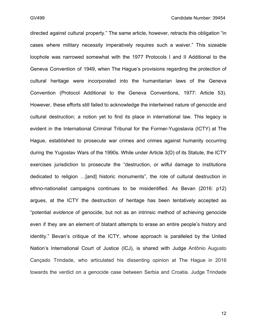directed against cultural property." The same article, however, retracts this obligation "in cases where military necessity imperatively requires such a waiver." This sizeable loophole was narrowed somewhat with the 1977 Protocols I and II Additional to the Geneva Convention of 1949, when The Hague's provisions regarding the protection of cultural heritage were incorporated into the humanitarian laws of the Geneva Convention (Protocol Additional to the Geneva Conventions, 1977: Article 53). However, these efforts still failed to acknowledge the intertwined nature of genocide and cultural destruction; a notion yet to find its place in international law. This legacy is evident in the International Criminal Tribunal for the Former-Yugoslavia (ICTY) at The Hague, established to prosecute war crimes and crimes against humanity occurring during the Yugoslav Wars of the 1990s. While under Article 3(D) of its Statute, the ICTY exercises jurisdiction to prosecute the "destruction, or wilful damage to institutions dedicated to religion …[and] historic monuments", the role of cultural destruction in ethno-nationalist campaigns continues to be misidentified. As Bevan (2016: p12) argues, at the ICTY the destruction of heritage has been tentatively accepted as "potential *evidence* of genocide, but not as an intrinsic method of achieving genocide even if they are an element of blatant attempts to erase an entire people's history and identity." Bevan's critique of the ICTY, whose approach is paralleled by the United Nation's International Court of Justice (ICJ), is shared with Judge Antônio Augusto Cançado Trindade, who articulated his dissenting opinion at The Hague in 2016 towards the verdict on a genocide case between Serbia and Croatia. Judge Trindade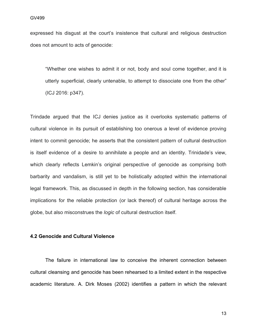expressed his disgust at the court's insistence that cultural and religious destruction does not amount to acts of genocide:

"Whether one wishes to admit it or not, body and soul come together, and it is utterly superficial, clearly untenable, to attempt to dissociate one from the other" (ICJ 2016: p347).

Trindade argued that the ICJ denies justice as it overlooks systematic patterns of cultural violence in its pursuit of establishing too onerous a level of evidence proving intent to commit genocide; he asserts that the consistent pattern of cultural destruction is itself evidence of a desire to annihilate a people and an identity. Trinidade's view, which clearly reflects Lemkin's original perspective of genocide as comprising both barbarity and vandalism, is still yet to be holistically adopted within the international legal framework. This, as discussed in depth in the following section, has considerable implications for the reliable protection (or lack thereof) of cultural heritage across the globe, but also misconstrues the *logic* of cultural destruction itself.

#### **4.2 Genocide and Cultural Violence**

The failure in international law to conceive the inherent connection between cultural cleansing and genocide has been rehearsed to a limited extent in the respective academic literature. A. Dirk Moses (2002) identifies a pattern in which the relevant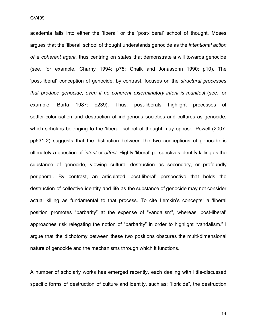academia falls into either the 'liberal' or the 'post-liberal' school of thought. Moses argues that the 'liberal' school of thought understands genocide as the *intentional action of a coherent agent*, thus centring on states that demonstrate a will towards genocide (see, for example, Charny 1994: p75; Chalk and Jonassohn 1990: p10). The 'post-liberal' conception of genocide, by contrast, focuses on the *structural processes that produce genocide, even if no coherent exterminatory intent is manifest* (see, for example, Barta 1987: p239). Thus, post-liberals highlight processes of settler-colonisation and destruction of indigenous societies and cultures as genocide, which scholars belonging to the 'liberal' school of thought may oppose. Powell (2007: pp531-2) suggests that the distinction between the two conceptions of genocide is ultimately a question of *intent* or *effect*. Highly 'liberal' perspectives identify killing as the substance of genocide, viewing cultural destruction as secondary, or profoundly peripheral. By contrast, an articulated 'post-liberal' perspective that holds the destruction of collective identity and life as the substance of genocide may not consider actual killing as fundamental to that process. To cite Lemkin's concepts, a 'liberal position promotes "barbarity" at the expense of "vandalism", whereas 'post-liberal' approaches risk relegating the notion of "barbarity" in order to highlight "vandalism." I argue that the dichotomy between these two positions obscures the multi-dimensional nature of genocide and the mechanisms through which it functions.

A number of scholarly works has emerged recently, each dealing with little-discussed specific forms of destruction of culture and identity, such as: "libricide", the destruction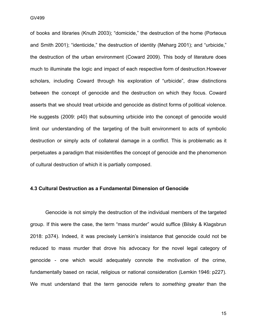of books and libraries (Knuth 2003); "domicide," the destruction of the home (Porteous and Smith 2001); "identicide," the destruction of identity (Meharg 2001); and "urbicide," the destruction of the urban environment (Coward 2009). This body of literature does much to illuminate the logic and impact of each respective form of destruction.However scholars, including Coward through his exploration of "urbicide", draw distinctions between the concept of genocide and the destruction on which they focus. Coward asserts that we should treat urbicide and genocide as distinct forms of political violence. He suggests (2009: p40) that subsuming urbicide into the concept of genocide would limit our understanding of the targeting of the built environment to acts of symbolic destruction or simply acts of collateral damage in a conflict. This is problematic as it perpetuates a paradigm that misidentifies the concept of genocide and the phenomenon of cultural destruction of which it is partially composed.

#### **4.3 Cultural Destruction as a Fundamental Dimension of Genocide**

Genocide is not simply the destruction of the individual members of the targeted group. If this were the case, the term "mass murder" would suffice (Bilsky & Klagsbrun 2018: p374). Indeed, it was precisely Lemkin's insistance that genocide could not be reduced to mass murder that drove his advocacy for the novel legal category of genocide - one which would adequately connote the motivation of the crime, fundamentally based on racial, religious or national consideration (Lemkin 1946: p227). We must understand that the term genocide refers to *something greater* than the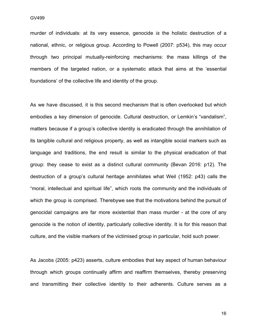murder of individuals: at its very essence, genocide is the holistic destruction of a national, ethnic, or religious group. According to Powell (2007: p534), this may occur through two principal mutually-reinforcing mechanisms: the mass killings of the members of the targeted nation, or a systematic attack that aims at the 'essential foundations' of the collective life and identity of the group.

As we have discussed, it is this second mechanism that is often overlooked but which embodies a key dimension of genocide. Cultural destruction, or Lemkin's "vandalism", matters because if a group's collective identity is eradicated through the annihilation of its tangible cultural and religious property, as well as intangible social markers such as language and traditions, the end result is similar to the physical eradication of that group: they cease to exist as a distinct cultural community (Bevan 2016: p12). The destruction of a group's cultural heritage annihilates what Weil (1952: p43) calls the "moral, intellectual and spiritual life", which roots the community and the individuals of which the group is comprised. Therebywe see that the motivations behind the pursuit of genocidal campaigns are far more existential than mass murder - at the core of any genocide is the notion of identity, particularly collective identity. It is for this reason that culture, and the visible markers of the victimised group in particular, hold such power.

As Jacobs (2005: p423) asserts, culture embodies that key aspect of human behaviour through which groups continually affirm and reaffirm themselves, thereby preserving and transmitting their collective identity to their adherents. Culture serves as a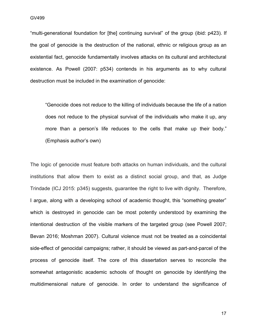GV499

"multi-generational foundation for [the] continuing survival" of the group (ibid: p423). If the goal of genocide is the destruction of the national, ethnic or religious group as an existential fact, genocide fundamentally involves attacks on its cultural and architectural existence. As Powell (2007: p534) contends in his arguments as to why cultural destruction must be included in the examination of genocide:

"Genocide does not *reduce* to the killing of individuals because the life of a nation does not reduce to the physical survival of the individuals who make it up, any more than a person's life reduces to the cells that make up their body." (Emphasis author's own)

The logic of genocide must feature both attacks on human individuals, and the cultural institutions that allow them to exist as a distinct social group, and that, as Judge Trindade (ICJ 2015: p345) suggests, guarantee the right to live with dignity. Therefore, I argue, along with a developing school of academic thought, this "something greater" which is destroyed in genocide can be most potently understood by examining the intentional destruction of the visible markers of the targeted group (see Powell 2007; Bevan 2016; Moshman 2007). Cultural violence must not be treated as a coincidental side-effect of genocidal campaigns; rather, it should be viewed as part-and-parcel of the process of genocide itself. The core of this dissertation serves to reconcile the somewhat antagonistic academic schools of thought on genocide by identifying the multidimensional nature of genocide. In order to understand the significance of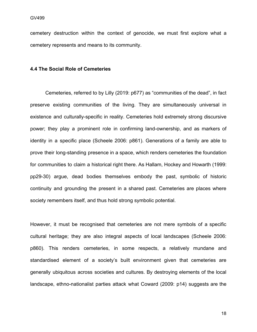cemetery destruction within the context of genocide, we must first explore what a cemetery represents and means to its community.

#### **4.4 The Social Role of Cemeteries**

Cemeteries, referred to by Lilly (2019: p677) as "communities of the dead", in fact preserve existing communities of the living. They are simultaneously universal in existence and culturally-specific in reality. Cemeteries hold extremely strong discursive power; they play a prominent role in confirming land-ownership, and as markers of identity in a specific place (Scheele 2006: p861). Generations of a family are able to prove their long-standing presence in a space, which renders cemeteries the foundation for communities to claim a historical right there. As Hallam, Hockey and Howarth (1999: pp29-30) argue, dead bodies themselves embody the past, symbolic of historic continuity and grounding the present in a shared past. Cemeteries are places where society remembers itself, and thus hold strong symbolic potential.

However, it must be recognised that cemeteries are not mere symbols of a specific cultural heritage; they are also integral aspects of local landscapes (Scheele 2006: p860). This renders cemeteries, in some respects, a relatively mundane and standardised element of a society's built environment given that cemeteries are generally ubiquitous across societies and cultures. By destroying elements of the local landscape, ethno-nationalist parties attack what Coward (2009: p14) suggests are the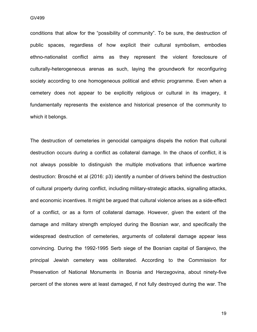conditions that allow for the "possibility of community". To be sure, the destruction of public spaces, regardless of how explicit their cultural symbolism, embodies ethno-nationalist conflict aims as they represent the violent foreclosure of culturally-heterogeneous arenas as such, laying the groundwork for reconfiguring society according to one homogeneous political and ethnic programme. Even when a cemetery does not appear to be explicitly religious or cultural in its imagery, it fundamentally represents the existence and historical presence of the community to which it belongs.

The destruction of cemeteries in genocidal campaigns dispels the notion that cultural destruction occurs during a conflict as collateral damage. In the chaos of conflict, it is not always possible to distinguish the multiple motivations that influence wartime destruction: Brosché et al (2016: p3) identify a number of drivers behind the destruction of cultural property during conflict, including military-strategic attacks, signalling attacks, and economic incentives. It might be argued that cultural violence arises as a side-effect of a conflict, or as a form of collateral damage. However, given the extent of the damage and military strength employed during the Bosnian war, and specifically the widespread destruction of cemeteries, arguments of collateral damage appear less convincing. During the 1992-1995 Serb siege of the Bosnian capital of Sarajevo, the principal Jewish cemetery was obliterated. According to the Commission for Preservation of National Monuments in Bosnia and Herzegovina, about ninety-five percent of the stones were at least damaged, if not fully destroyed during the war. The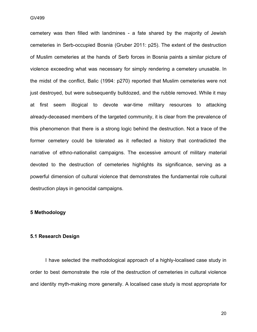GV499 Candidate Number: 394544 Candidate Number: 39454 Candidate Number: 39454 Candidate Number: 39454 Candidate Number: 39454 Candidate Number: 39454 Candidate Number: 39454 Candidate Number: 39454 Candidate Number: 39454

cemetery was then filled with landmines - a fate shared by the majority of Jewish cemeteries in Serb-occupied Bosnia (Gruber 2011: p25). The extent of the destruction of Muslim cemeteries at the hands of Serb forces in Bosnia paints a similar picture of violence exceeding what was necessary for simply rendering a cemetery unusable. In the midst of the conflict, Balic (1994: p270) reported that Muslim cemeteries were not just destroyed, but were subsequently bulldozed, and the rubble removed. While it may at first seem illogical to devote war-time military resources to attacking already-deceased members of the targeted community, it is clear from the prevalence of this phenomenon that there is a strong logic behind the destruction. Not a trace of the former cemetery could be tolerated as it reflected a history that contradicted the narrative of ethno-nationalist campaigns. The excessive amount of military material devoted to the destruction of cemeteries highlights its significance, serving as a powerful dimension of cultural violence that demonstrates the fundamental role cultural destruction plays in genocidal campaigns.

#### **5 Methodology**

#### **5.1 Research Design**

I have selected the methodological approach of a highly-localised case study in order to best demonstrate the role of the destruction of cemeteries in cultural violence and identity myth-making more generally. A localised case study is most appropriate for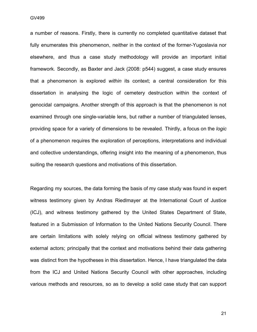a number of reasons. Firstly, there is currently no completed quantitative dataset that fully enumerates this phenomenon, neither in the context of the former-Yugoslavia nor elsewhere, and thus a case study methodology will provide an important initial framework. Secondly, as Baxter and Jack (2008: p544) suggest, a case study ensures that a phenomenon is explored *within* its context; a central consideration for this dissertation in analysing the logic of cemetery destruction within the context of genocidal campaigns. Another strength of this approach is that the phenomenon is not examined through one single-variable lens, but rather a number of triangulated lenses, providing space for a variety of dimensions to be revealed. Thirdly, a focus on the *logic* of a phenomenon requires the exploration of perceptions, interpretations and individual and collective understandings, offering insight into the meaning of a phenomenon, thus suiting the research questions and motivations of this dissertation.

Regarding my sources, the data forming the basis of my case study was found in expert witness testimony given by Andras Riedlmayer at the International Court of Justice (ICJ), and witness testimony gathered by the United States Department of State, featured in a Submission of Information to the United Nations Security Council. There are certain limitations with solely relying on official witness testimony gathered by external actors; principally that the context and motivations behind their data gathering was distinct from the hypotheses in this dissertation. Hence, I have triangulated the data from the ICJ and United Nations Security Council with other approaches, including various methods and resources, so as to develop a solid case study that can support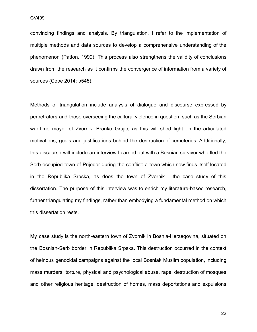convincing findings and analysis. By triangulation, I refer to the implementation of multiple methods and data sources to develop a comprehensive understanding of the phenomenon (Patton, 1999). This process also strengthens the validity of conclusions drawn from the research as it confirms the convergence of information from a variety of sources (Cope 2014: p545).

Methods of triangulation include analysis of dialogue and discourse expressed by perpetrators and those overseeing the cultural violence in question, such as the Serbian war-time mayor of Zvornik, Branko Grujic, as this will shed light on the articulated motivations, goals and justifications behind the destruction of cemeteries. Additionally, this discourse will include an interview I carried out with a Bosnian survivor who fled the Serb-occupied town of Prijedor during the conflict: a town which now finds itself located in the Republika Srpska, as does the town of Zvornik - the case study of this dissertation. The purpose of this interview was to enrich my literature-based research, further triangulating my findings, rather than embodying a fundamental method on which this dissertation rests.

My case study is the north-eastern town of Zvornik in Bosnia-Herzegovina, situated on the Bosnian-Serb border in Republika Srpska. This destruction occurred in the context of heinous genocidal campaigns against the local Bosniak Muslim population, including mass murders, torture, physical and psychological abuse, rape, destruction of mosques and other religious heritage, destruction of homes, mass deportations and expulsions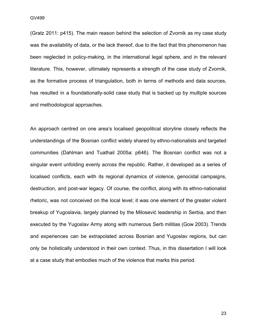(Gratz 2011: p415). The main reason behind the selection of Zvornik as my case study was the availability of data, or the lack thereof, due to the fact that this phenomenon has been neglected in policy-making, in the international legal sphere, and in the relevant literature. This, however, ultimately represents a strength of the case study of Zvornik, as the formative process of triangulation, both in terms of methods and data sources, has resulted in a foundationally-solid case study that is backed up by multiple sources and methodological approaches.

An approach centred on one area's localised geopolitical storyline closely reflects the understandings of the Bosnian conflict widely shared by ethno-nationalists and targeted communities (Dahlman and Tuathail 2005a: p646). The Bosnian conflict was not a singular event unfolding evenly across the republic. Rather, it developed as a series of localised conflicts, each with its regional dynamics of violence, genocidal campaigns, destruction, and post-war legacy. Of course, the conflict, along with its ethno-nationalist rhetoric, was not conceived on the local level; it was one element of the greater violent breakup of Yugoslavia, largely planned by the Milosević leadership in Serbia, and then executed by the Yugoslav Army along with numerous Serb militias (Gow 2003). Trends and experiences can be extrapolated across Bosnian and Yugoslav regions, but can only be holistically understood in their own context. Thus, in this dissertation I will look at a case study that embodies much of the violence that marks this period.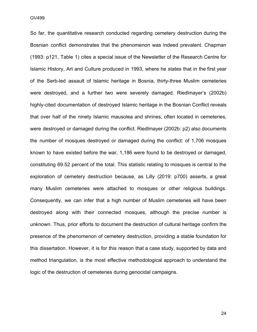GV499

So far, the quantitative research conducted regarding cemetery destruction during the Bosnian conflict demonstrates that the phenomenon was indeed prevalent. Chapman (1993: p121, Table 1) cites a special issue of the Newsletter of the Research Centre for Islamic History, Art and Culture produced in 1993, where he states that in the first year of the Serb-led assault of Islamic heritage in Bosnia, thirty-three Muslim cemeteries were destroyed, and a further two were severely damaged. Riedlmayer's (2002b) highly-cited documentation of destroyed Islamic heritage in the Bosnian Conflict reveals that over half of the ninety Islamic mausolea and shrines, often located in cemeteries, were destroyed or damaged during the conflict. Riedlmayer (2002b: p2) also documents the number of mosques destroyed or damaged during the conflict: of 1,706 mosques known to have existed before the war, 1,186 were found to be destroyed or damaged, constituting 69.52 percent of the total. This statistic relating to mosques is central to the exploration of cemetery destruction because, as Lilly (2019: p700) asserts, a great many Muslim cemeteries were attached to mosques or other religious buildings. Consequently, we can infer that a high number of Muslim cemeteries will have been destroyed along with their connected mosques, although the precise number is unknown. Thus, prior efforts to document the destruction of cultural heritage confirm the presence of the phenomenon of cemetery destruction, providing a stable foundation for this dissertation. However, it is for this reason that a case study, supported by data and method triangulation, is the most effective methodological approach to understand the logic of the destruction of cemeteries during genocidal campaigns.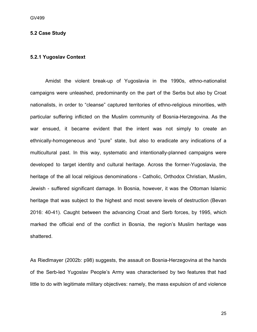#### **5.2 Case Study**

#### **5.2.1 Yugoslav Context**

Amidst the violent break-up of Yugoslavia in the 1990s, ethno-nationalist campaigns were unleashed, predominantly on the part of the Serbs but also by Croat nationalists, in order to "cleanse" captured territories of ethno-religious minorities, with particular suffering inflicted on the Muslim community of Bosnia-Herzegovina. As the war ensued, it became evident that the intent was not simply to create an ethnically-homogeneous and "pure" state, but also to eradicate any indications of a multicultural past. In this way, systematic and intentionally-planned campaigns were developed to target identity and cultural heritage. Across the former-Yugoslavia, the heritage of the all local religious denominations - Catholic, Orthodox Christian, Muslim, Jewish - suffered significant damage. In Bosnia, however, it was the Ottoman Islamic heritage that was subject to the highest and most severe levels of destruction (Bevan 2016: 40-41). Caught between the advancing Croat and Serb forces, by 1995, which marked the official end of the conflict in Bosnia, the region's Muslim heritage was shattered.

As Riedlmayer (2002b: p98) suggests, the assault on Bosnia-Herzegovina at the hands of the Serb-led Yugoslav People's Army was characterised by two features that had little to do with legitimate military objectives: namely, the mass expulsion of and violence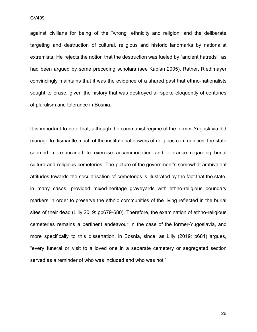GV499 Candidate Number: 394544 Candidate Number: 39454 Candidate Number: 39454 Candidate Number: 39454 Candidate Number: 39454 Candidate Number: 39454 Candidate Number: 39454 Candidate Number: 39454 Candidate Number: 39454

against civilians for being of the "wrong" ethnicity and religion; and the deliberate targeting and destruction of cultural, religious and historic landmarks by nationalist extremists. He rejects the notion that the destruction was fueled by "ancient hatreds", as had been argued by some preceding scholars (see Kaplan 2005). Rather, Riedlmayer convincingly maintains that it was the evidence of a shared past that ethno-nationalists sought to erase, given the history that was destroyed all spoke eloquently of centuries of pluralism and tolerance in Bosnia.

It is important to note that, although the communist regime of the former-Yugoslavia did manage to dismantle much of the institutional powers of religious communities, the state seemed more inclined to exercise accommodation and tolerance regarding burial culture and religious cemeteries. The picture of the government's somewhat ambivalent attitudes towards the secularisation of cemeteries is illustrated by the fact that the state, in many cases, provided mixed-heritage graveyards with ethno-religious boundary markers in order to preserve the ethnic communities of the living reflected in the burial sites of their dead (Lilly 2019: pp679-680). Therefore, the examination of ethno-religious cemeteries remains a pertinent endeavour in the case of the former-Yugoslavia, and more specifically to this dissertation, in Bosnia, since, as Lilly (2019: p681) argues, "every funeral or visit to a loved one in a separate cemetery or segregated section served as a reminder of who was included and who was not."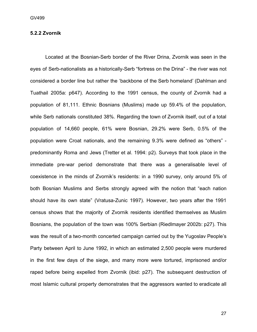#### **5.2.2 Zvornik**

Located at the Bosnian-Serb border of the River Drina, Zvornik was seen in the eyes of Serb-nationalists as a historically-Serb "fortress on the Drina" - the river was not considered a border line but rather the 'backbone of the Serb homeland' (Dahlman and Tuathail 2005a: p647). According to the 1991 census, the county of Zvornik had a population of 81,111. Ethnic Bosnians (Muslims) made up 59.4% of the population, while Serb nationals constituted 38%. Regarding the town of Zvornik itself, out of a total population of 14,660 people, 61% were Bosnian, 29.2% were Serb, 0.5% of the population were Croat nationals, and the remaining 9.3% were defined as "others" predominantly Roma and Jews (Tretter et al. 1994: p2). Surveys that took place in the immediate pre-war period demonstrate that there was a generalisable level of coexistence in the minds of Zvornik's residents: in a 1990 survey, only around 5% of both Bosnian Muslims and Serbs strongly agreed with the notion that "each nation should have its own state" (Vratusa-Zunic 1997). However, two years after the 1991 census shows that the majority of Zvornik residents identified themselves as Muslim Bosnians, the population of the town was 100% Serbian (Riedlmayer 2002b: p27). This was the result of a two-month concerted campaign carried out by the Yugoslav People's Party between April to June 1992, in which an estimated 2,500 people were murdered in the first few days of the siege, and many more were tortured, imprisoned and/or raped before being expelled from Zvornik (ibid: p27). The subsequent destruction of most Islamic cultural property demonstrates that the aggressors wanted to eradicate all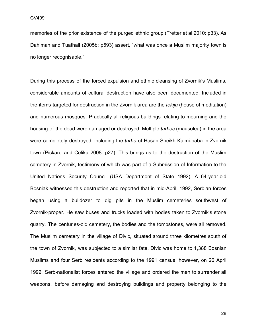memories of the prior existence of the purged ethnic group (Tretter et al 2010: p33). As Dahlman and Tuathail (2005b: p593) assert, "what was once a Muslim majority town is no longer recognisable."

During this process of the forced expulsion and ethnic cleansing of Zvornik's Muslims, considerable amounts of cultural destruction have also been documented. Included in the items targeted for destruction in the Zvornik area are the *tekija* (house of meditation) and numerous mosques. Practically all religious buildings relating to mourning and the housing of the dead were damaged or destroyed. Multiple *turbes* (mausolea) in the area were completely destroyed, including the *turbe* of Hasan Sheikh Kaimi-baba in Zvornik town (Pickard and Celiku 2008: p27). This brings us to the destruction of the Muslim cemetery in Zvornik, testimony of which was part of a Submission of Information to the United Nations Security Council (USA Department of State 1992). A 64-year-old Bosniak witnessed this destruction and reported that in mid-April, 1992, Serbian forces began using a bulldozer to dig pits in the Muslim cemeteries southwest of Zvornik-proper. He saw buses and trucks loaded with bodies taken to Zvornik's stone quarry. The centuries-old cemetery, the bodies and the tombstones, were all removed. The Muslim cemetery in the village of Divic, situated around three kilometres south of the town of Zvornik, was subjected to a similar fate. Divic was home to 1,388 Bosnian Muslims and four Serb residents according to the 1991 census; however, on 26 April 1992, Serb-nationalist forces entered the village and ordered the men to surrender all weapons, before damaging and destroying buildings and property belonging to the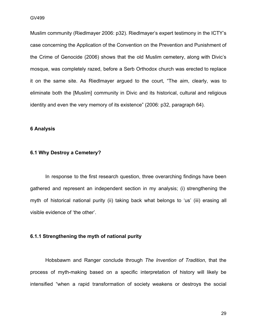Muslim community (Riedlmayer 2006: p32). Riedlmayer's expert testimony in the ICTY's case concerning the Application of the Convention on the Prevention and Punishment of the Crime of Genocide (2006) shows that the old Muslim cemetery, along with Divic's mosque, was completely razed, before a Serb Orthodox church was erected to replace it on the same site. As Riedlmayer argued to the court, "The aim, clearly, was to eliminate both the [Muslim] community in Divic and its historical, cultural and religious identity and even the very memory of its existence" (2006: p32, paragraph 64).

#### **6 Analysis**

#### **6.1 Why Destroy a Cemetery?**

In response to the first research question, three overarching findings have been gathered and represent an independent section in my analysis; (i) strengthening the myth of historical national purity (ii) taking back what belongs to 'us' (iii) erasing all visible evidence of 'the other'.

#### **6.1.1 Strengthening the myth of national purity**

Hobsbawm and Ranger conclude through *The Invention of Tradition*, that the process of myth-making based on a specific interpretation of history will likely be intensified "when a rapid transformation of society weakens or destroys the social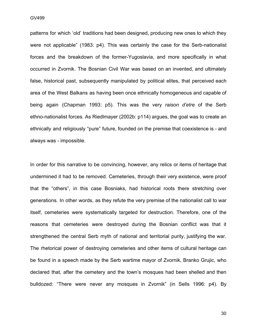patterns for which 'old' traditions had been designed, producing new ones to which they were not applicable" (1983: p4). This was certainly the case for the Serb-nationalist forces and the breakdown of the former-Yugoslavia, and more specifically in what occurred in Zvornik. The Bosnian Civil War was based on an invented, and ultimately false, historical past, subsequently manipulated by political elites, that perceived each area of the West Balkans as having been once ethnically homogeneous and capable of being again (Chapman 1993: p5). This was the very *raison d'etre* of the Serb ethno-nationalist forces. As Riedlmayer (2002b: p114) argues, the goal was to create an ethnically and religiously "pure" future, founded on the premise that coexistence is - and always was - impossible.

In order for this narrative to be convincing, however, any relics or items of heritage that undermined it had to be removed. Cemeteries, through their very existence, were proof that the "others", in this case Bosniaks, had historical roots there stretching over generations. In other words, as they refute the very premise of the nationalist call to war itself, cemeteries were systematically targeted for destruction. Therefore, one of the reasons that cemeteries were destroyed during the Bosnian conflict was that it strengthened the central Serb myth of national and territorial purity, justifying the war. The rhetorical power of destroying cemeteries and other items of cultural heritage can be found in a speech made by the Serb wartime mayor of Zvornik, Branko Grujic, who declared that, after the cemetery and the town's mosques had been shelled and then bulldozed: "There were never any mosques in Zvornik" (in Sells 1996: p4). By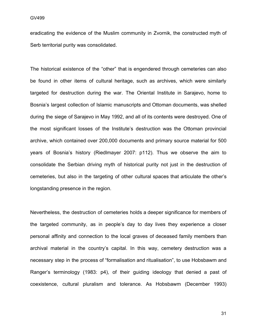eradicating the evidence of the Muslim community in Zvornik, the constructed myth of Serb territorial purity was consolidated.

The historical existence of the "other" that is engendered through cemeteries can also be found in other items of cultural heritage, such as archives, which were similarly targeted for destruction during the war. The Oriental Institute in Sarajevo, home to Bosnia's largest collection of Islamic manuscripts and Ottoman documents, was shelled during the siege of Sarajevo in May 1992, and all of its contents were destroyed. One of the most significant losses of the Institute's destruction was the Ottoman provincial archive, which contained over 200,000 documents and primary source material for 500 years of Bosnia's history (Riedlmayer 2007: p112). Thus we observe the aim to consolidate the Serbian driving myth of historical purity not just in the destruction of cemeteries, but also in the targeting of other cultural spaces that articulate the other's longstanding presence in the region.

Nevertheless, the destruction of cemeteries holds a deeper significance for members of the targeted community, as in people's day to day lives they experience a closer personal affinity and connection to the local graves of deceased family members than archival material in the country's capital. In this way, cemetery destruction was a necessary step in the process of "formalisation and ritualisation", to use Hobsbawm and Ranger's terminology (1983: p4), of their guiding ideology that denied a past of coexistence, cultural pluralism and tolerance. As Hobsbawm (December 1993)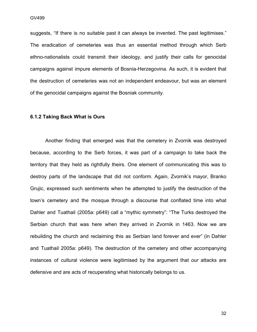suggests, "If there is no suitable past it can always be invented. The past legitimises." The eradication of cemeteries was thus an essential method through which Serb ethno-nationalists could transmit their ideology, and justify their calls for genocidal campaigns against impure elements of Bosnia-Herzegovina. As such, it is evident that the destruction of cemeteries was not an independent endeavour, but was an element of the genocidal campaigns against the Bosniak community.

#### **6.1.2 Taking Back What is Ours**

Another finding that emerged was that the cemetery in Zvornik was destroyed because, according to the Serb forces, it was part of a campaign to take back the territory that they held as rightfully theirs. One element of communicating this was to destroy parts of the landscape that did not conform. Again, Zvornik's mayor, Branko Grujic, expressed such sentiments when he attempted to justify the destruction of the town's cemetery and the mosque through a discourse that conflated time into what Dahler and Tuathail (2005a: p649) call a "mythic symmetry": "The Turks destroyed the Serbian church that was here when they arrived in Zvornik in 1463. Now we are rebuilding the church and reclaiming this as Serbian land forever and ever" (in Dahler and Tuathail 2005a: p649). The destruction of the cemetery and other accompanying instances of cultural violence were legitimised by the argument that *our* attacks are defensive and are acts of recuperating what historically belongs to us.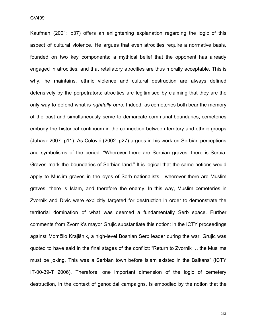Kaufman (2001: p37) offers an enlightening explanation regarding the logic of this aspect of cultural violence. He argues that even atrocities require a normative basis, founded on two key components: a mythical belief that the opponent has already engaged in atrocities, and that retaliatory atrocities are thus morally acceptable. This is why, he maintains, ethnic violence and cultural destruction are always defined defensively by the perpetrators; atrocities are legitimised by claiming that they are the only way to defend what is *rightfully ours*. Indeed, as cemeteries both bear the memory of the past and simultaneously serve to demarcate communal boundaries, cemeteries embody the historical continuum in the connection between territory and ethnic groups (Juhasz 2007: p11). As Colović (2002: p27) argues in his work on Serbian perceptions and symbolisms of the period, "Wherever there are Serbian graves, there is Serbia. Graves mark the boundaries of Serbian land." It is logical that the same notions would apply to Muslim graves in the eyes of Serb nationalists - wherever there are Muslim graves, there is Islam, and therefore the enemy. In this way, Muslim cemeteries in Zvornik and Divic were explicitly targeted for destruction in order to demonstrate the territorial domination of what was deemed a fundamentally Serb space. Further comments from Zvornik's mayor Grujic substantiate this notion: in the ICTY proceedings against Momčilo Krajišnik, a high-level Bosnian Serb leader during the war, Grujic was quoted to have said in the final stages of the conflict: "Return to Zvornik … the Muslims must be joking. This was a Serbian town before Islam existed in the Balkans" (ICTY IT-00-39-T 2006). Therefore, one important dimension of the logic of cemetery destruction, in the context of genocidal campaigns, is embodied by the notion that the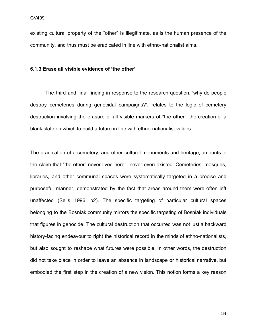existing cultural property of the "other" is illegitimate, as is the human presence of the community, and thus must be eradicated in line with ethno-nationalist aims.

#### **6.1.3 Erase all visible evidence of 'the other'**

The third and final finding in response to the research question, 'why do people destroy cemeteries during genocidal campaigns?', relates to the logic of cemetery destruction involving the erasure of all visible markers of "the other": the creation of a blank slate on which to build a future in line with ethno-nationalist values.

The eradication of a cemetery, and other cultural monuments and heritage, amounts to the claim that "the other" never lived here - never even existed. Cemeteries, mosques, libraries, and other communal spaces were systematically targeted in a precise and purposeful manner, demonstrated by the fact that areas around them were often left unaffected (Sells 1996: p2). The specific targeting of particular cultural spaces belonging to the Bosniak community mirrors the specific targeting of Bosniak individuals that figures in genocide. The cultural destruction that occurred was not just a backward history-facing endeavour to right the historical record in the minds of ethno-nationalists, but also sought to reshape what futures were possible. In other words, the destruction did not take place in order to leave an absence in landscape or historical narrative, but embodied the first step in the creation of a new vision. This notion forms a key reason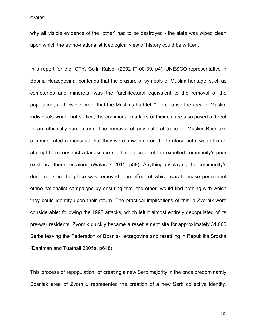why all visible evidence of the "other" had to be destroyed - the slate was wiped clean upon which the ethno-nationalist ideological view of history could be written.

In a report for the ICTY, Colin Kaiser (2002 IT-00-39, p4), UNESCO representative in Bosnia-Herzegovina, contends that the erasure of symbols of Muslim heritage, such as cemeteries and minerets, was the "architectural equivalent to the removal of the population, and visible proof that the Muslims had left." To cleanse the area of Muslim individuals would not suffice; the communal markers of their culture also posed a threat to an ethnically-pure future. The removal of any cultural trace of Muslim Bosniaks communicated a message that they were unwanted on the territory, but it was also an attempt to reconstruct a landscape so that no proof of the expelled community's prior existence there remained (Walasek 2015: p58). Anything displaying the community's deep roots in the place was removed - an effect of which was to make permanent ethno-nationalist campaigns by ensuring that "the other" would find nothing with which they could identify upon their return. The practical implications of this in Zvornik were considerable: following the 1992 attacks, which left it almost entirely depopulated of its pre-war residents, Zvornik quickly became a resettlement site for approximately 31,000 Serbs leaving the Federation of Bosnia-Herzegovina and resettling in Republika Srpska (Dahlman and Tuathail 2005a: p648).

This process of repopulation, of creating a new Serb majority in the once predominantly Bosniak area of Zvornik, represented the creation of a new Serb collective identity.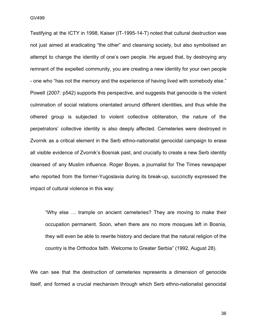GV499

Testifying at the ICTY in 1998, Kaiser (IT-1995-14-T) noted that cultural destruction was not just aimed at eradicating "the other" and cleansing society, but also symbolised an attempt to change the identity of one's own people. He argued that, by destroying any remnant of the expelled community, you are creating a new identity for your own people - one who "has not the memory and the experience of having lived with somebody else." Powell (2007: p542) supports this perspective, and suggests that genocide is the violent culmination of social relations orientated around different identities, and thus while the othered group is subjected to violent collective obliteration, the nature of the perpetrators' collective identity is also deeply affected. Cemeteries were destroyed in Zvornik as a critical element in the Serb ethno-nationalist genocidal campaign to erase all visible evidence of Zvornik's Bosniak past, and crucially to create a new Serb identity cleansed of any Muslim influence. Roger Boyes, a journalist for The Times newspaper who reported from the former-Yugoslavia during its break-up, succinctly expressed the impact of cultural violence in this way:

"Why else … trample on ancient cemeteries? They are moving to make their occupation permanent. Soon, when there are no more mosques left in Bosnia, they will even be able to rewrite history and declare that the natural religion of the country is the Orthodox faith. Welcome to Greater Serbia" (1992, August 28).

We can see that the destruction of cemeteries represents a dimension of genocide itself, and formed a crucial mechanism through which Serb ethno-nationalist genocidal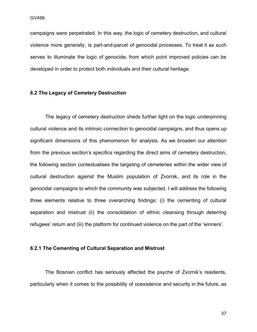campaigns were perpetrated. In this way, the logic of cemetery destruction, and cultural violence more generally, is part-and-parcel of genocidal processes. To treat it as such serves to illuminate the logic of genocide, from which point improved policies can be developed in order to protect both individuals and their cultural heritage.

#### **6.2 The Legacy of Cemetery Destruction**

The legacy of cemetery destruction sheds further light on the logic underpinning cultural violence and its intrinsic connection to genocidal campaigns, and thus opens up significant dimensions of this phenomenon for analysis. As we broaden our attention from the previous section's specifics regarding the direct aims of cemetery destruction, the following section contextualises the targeting of cemeteries within the wider view of cultural destruction against the Muslim population of Zvornik, and its role in the genocidal campaigns to which the community was subjected. I will address the following three elements relative to three overarching findings: (i) the cementing of cultural separation and mistrust (ii) the consolidation of ethnic cleansing through deterring refugees' return and (iii) the platform for continued violence on the part of the 'winners'.

#### **6.2.1 The Cementing of Cultural Separation and Mistrust**

The Bosnian conflict has seriously affected the psyche of Zvornik's residents, particularly when it comes to the possibility of coexistence and security in the future, as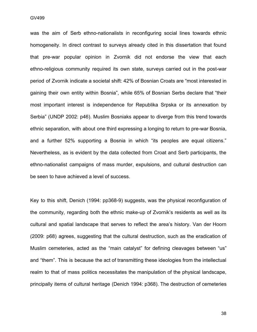was the aim of Serb ethno-nationalists in reconfiguring social lines towards ethnic homogeneity. In direct contrast to surveys already cited in this dissertation that found that pre-war popular opinion in Zvornik did not endorse the view that each ethno-religious community required its own state, surveys carried out in the post-war period of Zvornik indicate a societal shift: 42% of Bosnian Croats are "most interested in gaining their own entity within Bosnia", while 65% of Bosnian Serbs declare that "their most important interest is independence for Republika Srpska or its annexation by Serbia" (UNDP 2002: p46). Muslim Bosniaks appear to diverge from this trend towards ethnic separation, with about one third expressing a longing to return to pre-war Bosnia, and a further 52% supporting a Bosnia in which "its peoples are equal citizens." Nevertheless, as is evident by the data collected from Croat and Serb participants, the ethno-nationalist campaigns of mass murder, expulsions, and cultural destruction can be seen to have achieved a level of success.

Key to this shift, Denich (1994: pp368-9) suggests, was the physical reconfiguration of the community, regarding both the ethnic make-up of Zvornik's residents as well as its cultural and spatial landscape that serves to reflect the area's history. Van der Hoorn (2009: p68) agrees, suggesting that the cultural destruction, such as the eradication of Muslim cemeteries, acted as the "main catalyst" for defining cleavages between "us" and "them". This is because the act of transmitting these ideologies from the intellectual realm to that of mass politics necessitates the manipulation of the physical landscape, principally items of cultural heritage (Denich 1994: p368). The destruction of cemeteries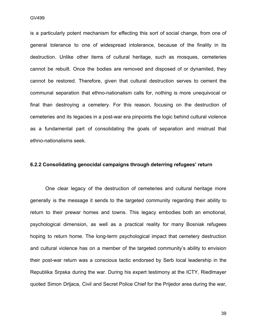$GV499$ 

is a particularly potent mechanism for effecting this sort of social change, from one of general tolerance to one of widespread intolerance, because of the finality in its destruction. Unlike other items of cultural heritage, such as mosques, cemeteries cannot be rebuilt. Once the bodies are removed and disposed of or dynamited, they cannot be restored. Therefore, given that cultural destruction serves to cement the communal separation that ethno-nationalism calls for, nothing is more unequivocal or final than destroying a cemetery. For this reason, focusing on the destruction of cemeteries and its legacies in a post-war era pinpoints the logic behind cultural violence as a fundamental part of consolidating the goals of separation and mistrust that ethno-nationalisms seek.

#### **6.2.2 Consolidating genocidal campaigns through deterring refugees' return**

One clear legacy of the destruction of cemeteries and cultural heritage more generally is the message it sends to the targeted community regarding their ability to return to their prewar homes and towns. This legacy embodies both an emotional, psychological dimension, as well as a practical reality for many Bosniak refugees hoping to return home. The long-term psychological impact that cemetery destruction and cultural violence has on a member of the targeted community's ability to envision their post-war return was a conscious tactic endorsed by Serb local leadership in the Republika Srpska during the war. During his expert testimony at the ICTY, Riedlmayer quoted Simon Drljaca, Civil and Secret Police Chief for the Prijedor area during the war,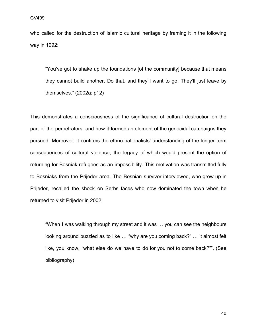who called for the destruction of Islamic cultural heritage by framing it in the following way in 1992:

"You've got to shake up the foundations [of the community] because that means they cannot build another. Do that, and they'll want to go. They'll just leave by themselves." (2002a: p12)

This demonstrates a consciousness of the significance of cultural destruction on the part of the perpetrators, and how it formed an element of the genocidal campaigns they pursued. Moreover, it confirms the ethno-nationalists' understanding of the longer-term consequences of cultural violence, the legacy of which would present the option of returning for Bosniak refugees as an impossibility. This motivation was transmitted fully to Bosniaks from the Prijedor area. The Bosnian survivor interviewed, who grew up in Prijedor, recalled the shock on Serbs faces who now dominated the town when he returned to visit Prijedor in 2002:

"When I was walking through my street and it was … you can see the neighbours looking around puzzled as to like … "why are you coming back?" … It almost felt like, you know, "what else do we have to do for you not to come back?"". (See bibliography)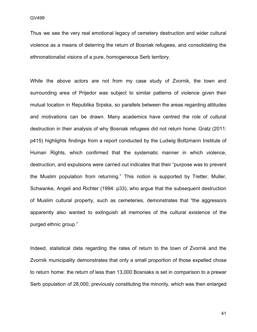Thus we see the very real emotional legacy of cemetery destruction and wider cultural violence as a means of deterring the return of Bosniak refugees, and consolidating the ethnonationalist visions of a pure, homogeneous Serb territory.

While the above actors are not from my case study of Zvornik, the town and surrounding area of Prijedor was subject to similar patterns of violence given their mutual location in Republika Srpska, so parallels between the areas regarding attitudes and motivations can be drawn. Many academics have centred the role of cultural destruction in their analysis of why Bosniak refugees did not return home. Gratz (2011: p415) highlights findings from a report conducted by the Ludwig Boltzmann Institute of Human Rights, which confirmed that the systematic manner in which violence, destruction, and expulsions were carried out indicates that their "purpose was to prevent the Muslim population from returning." This notion is supported by Tretter, Muller, Schwanke, Angeli and Richter (1994: p33), who argue that the subsequent destruction of Muslim cultural property, such as cemeteries, demonstrates that "the aggressors apparently also wanted to extinguish all memories of the cultural existence of the purged ethnic group."

Indeed, statistical data regarding the rates of return to the town of Zvornik and the Zvornik municipality demonstrates that only a small proportion of those expelled chose to return home: the return of less than 13,000 Bosniaks is set in comparison to a prewar Serb population of 28,000, previously constituting the minority, which was then enlarged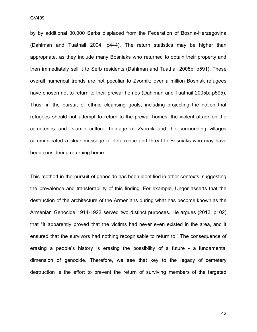by by additional 30,000 Serbs displaced from the Federation of Bosnia-Herzegovina (Dahlman and Tuathail 2004: p444). The return statistics may be higher than appropriate, as they include many Bosniaks who returned to obtain their property and then immediately sell it to Serb residents (Dahlman and Tuathail 2005b: p591). These overall numerical trends are not peculiar to Zvornik: over a million Bosniak refugees have chosen not to return to their prewar homes (Dahlman and Tuathail 2005b: p595). Thus, in the pursuit of ethnic cleansing goals, including projecting the notion that refugees should not attempt to return to the prewar homes, the violent attack on the cemeteries and Islamic cultural heritage of Zvornik and the surrounding villages communicated a clear message of deterrence and threat to Bosniaks who may have been considering returning home.

This method in the pursuit of genocide has been identified in other contexts, suggesting the prevalence and transferability of this finding. For example, Ungor asserts that the destruction of the architecture of the Armenians during what has become known as the Armenian Genocide 1914-1923 served two distinct purposes. He argues (2013: p102) that "It apparently proved that the victims had never even existed in the area, and it ensured that the survivors had nothing recognisable to return to." The consequence of erasing a people's history is erasing the possibility of a future - a fundamental dimension of genocide. Therefore, we see that key to the legacy of cemetery destruction is the effort to prevent the return of surviving members of the targeted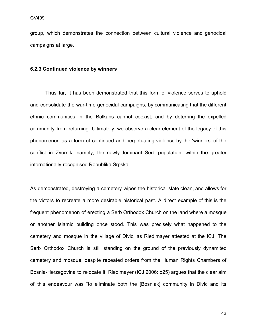group, which demonstrates the connection between cultural violence and genocidal campaigns at large.

#### **6.2.3 Continued violence by winners**

Thus far, it has been demonstrated that this form of violence serves to uphold and consolidate the war-time genocidal campaigns, by communicating that the different ethnic communities in the Balkans cannot coexist, and by deterring the expelled community from returning. Ultimately, we observe a clear element of the legacy of this phenomenon as a form of continued and perpetuating violence by the 'winners' of the conflict in Zvornik; namely, the newly-dominant Serb population, within the greater internationally-recognised Republika Srpska.

As demonstrated, destroying a cemetery wipes the historical slate clean, and allows for the victors to recreate a more desirable historical past. A direct example of this is the frequent phenomenon of erecting a Serb Orthodox Church on the land where a mosque or another Islamic building once stood. This was precisely what happened to the cemetery and mosque in the village of Divic, as Riedlmayer attested at the ICJ. The Serb Orthodox Church is still standing on the ground of the previously dynamited cemetery and mosque, despite repeated orders from the Human Rights Chambers of Bosnia-Herzegovina to relocate it. Riedlmayer (ICJ 2006: p25) argues that the clear aim of this endeavour was "to eliminate both the [Bosniak] community in Divic and its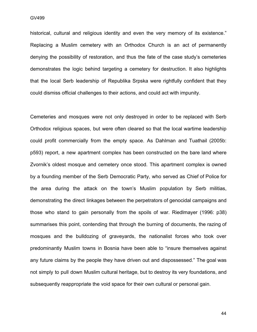historical, cultural and religious identity and even the very memory of its existence." Replacing a Muslim cemetery with an Orthodox Church is an act of permanently denying the possibility of restoration, and thus the fate of the case study's cemeteries demonstrates the logic behind targeting a cemetery for destruction. It also highlights that the local Serb leadership of Republika Srpska were rightfully confident that they could dismiss official challenges to their actions, and could act with impunity.

Cemeteries and mosques were not only destroyed in order to be replaced with Serb Orthodox religious spaces, but were often cleared so that the local wartime leadership could profit commercially from the empty space. As Dahlman and Tuathail (2005b: p593) report, a new apartment complex has been constructed on the bare land where Zvornik's oldest mosque and cemetery once stood. This apartment complex is owned by a founding member of the Serb Democratic Party, who served as Chief of Police for the area during the attack on the town's Muslim population by Serb militias, demonstrating the direct linkages between the perpetrators of genocidal campaigns and those who stand to gain personally from the spoils of war. Riedlmayer (1996: p38) summarises this point, contending that through the burning of documents, the razing of mosques and the bulldozing of graveyards, the nationalist forces who took over predominantly Muslim towns in Bosnia have been able to "insure themselves against any future claims by the people they have driven out and dispossessed." The goal was not simply to pull down Muslim cultural heritage, but to destroy its very foundations, and subsequently reappropriate the void space for their own cultural or personal gain.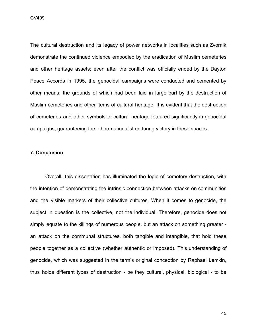GV499

The cultural destruction and its legacy of power networks in localities such as Zvornik demonstrate the continued violence embodied by the eradication of Muslim cemeteries and other heritage assets; even after the conflict was officially ended by the Dayton Peace Accords in 1995, the genocidal campaigns were conducted and cemented by other means, the grounds of which had been laid in large part by the destruction of Muslim cemeteries and other items of cultural heritage. It is evident that the destruction of cemeteries and other symbols of cultural heritage featured significantly in genocidal campaigns, guaranteeing the ethno-nationalist enduring victory in these spaces.

#### **7. Conclusion**

Overall, this dissertation has illuminated the logic of cemetery destruction, with the intention of demonstrating the intrinsic connection between attacks on communities and the visible markers of their collective cultures. When it comes to genocide, the subject in question is the collective, not the individual. Therefore, genocide does not simply equate to the killings of numerous people, but an attack on something greater an attack on the communal structures, both tangible and intangible, that hold these people together as a collective (whether authentic or imposed). This understanding of genocide, which was suggested in the term's original conception by Raphael Lemkin, thus holds different types of destruction - be they cultural, physical, biological - to be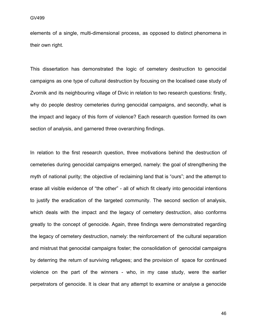elements of a single, multi-dimensional process, as opposed to distinct phenomena in their own right.

This dissertation has demonstrated the logic of cemetery destruction to genocidal campaigns as one type of cultural destruction by focusing on the localised case study of Zvornik and its neighbouring village of Divic in relation to two research questions: firstly, why do people destroy cemeteries during genocidal campaigns, and secondly, what is the impact and legacy of this form of violence? Each research question formed its own section of analysis, and garnered three overarching findings.

In relation to the first research question, three motivations behind the destruction of cemeteries during genocidal campaigns emerged, namely: the goal of strengthening the myth of national purity; the objective of reclaiming land that is "ours"; and the attempt to erase all visible evidence of "the other" - all of which fit clearly into genocidal intentions to justify the eradication of the targeted community. The second section of analysis, which deals with the impact and the legacy of cemetery destruction, also conforms greatly to the concept of genocide. Again, three findings were demonstrated regarding the legacy of cemetery destruction, namely: the reinforcement of the cultural separation and mistrust that genocidal campaigns foster; the consolidation of genocidal campaigns by deterring the return of surviving refugees; and the provision of space for continued violence on the part of the winners - who, in my case study, were the earlier perpetrators of genocide. It is clear that any attempt to examine or analyse a genocide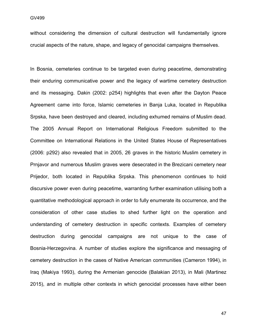without considering the dimension of cultural destruction will fundamentally ignore crucial aspects of the nature, shape, and legacy of genocidal campaigns themselves.

In Bosnia, cemeteries continue to be targeted even during peacetime, demonstrating their enduring communicative power and the legacy of wartime cemetery destruction and its messaging. Dakin (2002: p254) highlights that even after the Dayton Peace Agreement came into force, Islamic cemeteries in Banja Luka, located in Republika Srpska, have been destroyed and cleared, including exhumed remains of Muslim dead. The 2005 Annual Report on International Religious Freedom submitted to the Committee on International Relations in the United States House of Representatives (2006: p292) also revealed that in 2005, 26 graves in the historic Muslim cemetery in Prnjavor and numerous Muslim graves were desecrated in the Brezicani cemetery near Prijedor, both located in Republika Srpska. This phenomenon continues to hold discursive power even during peacetime, warranting further examination utilising both a quantitative methodological approach in order to fully enumerate its occurrence, and the consideration of other case studies to shed further light on the operation and understanding of cemetery destruction in specific contexts. Examples of cemetery destruction during genocidal campaigns are not unique to the case of Bosnia-Herzegovina. A number of studies explore the significance and messaging of cemetery destruction in the cases of Native American communities (Cameron 1994), in Iraq (Makiya 1993), during the Armenian genocide (Balakian 2013), in Mali (Martinez 2015), and in multiple other contexts in which genocidal processes have either been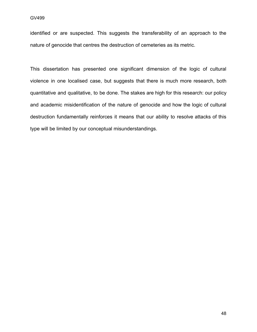identified or are suspected. This suggests the transferability of an approach to the nature of genocide that centres the destruction of cemeteries as its metric.

This dissertation has presented one significant dimension of the logic of cultural violence in one localised case, but suggests that there is much more research, both quantitative and qualitative, to be done. The stakes are high for this research: our policy and academic misidentification of the nature of genocide and how the logic of cultural destruction fundamentally reinforces it means that our ability to resolve attacks of this type will be limited by our conceptual misunderstandings.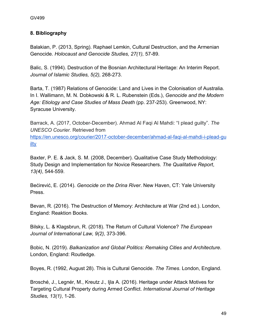#### **8. Bibliography**

Balakian, P. (2013, Spring). Raphael Lemkin, Cultural Destruction, and the Armenian Genocide. *Holocaust and Genocide Studies, 27(1),* 57-89.

Balic, S. (1994). Destruction of the Bosnian Architectural Heritage: An Interim Report. *Journal of Islamic Studies, 5(2),* 268-273.

Barta, T. (1987) Relations of Genocide: Land and Lives in the Colonisation of Australia. In I. Wallimann, M. N. Dobkowski & R. L. Rubenstein (Eds.), *Genocide and the Modern Age: Etiology and Case Studies of Mass Death* (pp. 237-253). Greenwood, NY: Syracuse University.

Barrack, A. (2017, October-December). Ahmad Al Faqi Al Mahdi: "I plead guilty". *The UNESCO Courier.* Retrieved from

[https://en.unesco.org/courier/2017-october-december/ahmad-al-faqi-al-mahdi-i-plead-gu](https://en.unesco.org/courier/2017-october-december/ahmad-al-faqi-al-mahdi-i-plead-guilty) [ilty](https://en.unesco.org/courier/2017-october-december/ahmad-al-faqi-al-mahdi-i-plead-guilty)

Baxter, P. E. & Jack, S. M. (2008, December). Qualitative Case Study Methodology: Study Design and Implementation for Novice Researchers. *The Qualitative Report*, *13(4)*, 544-559.

Bećirević, E. (2014). *Genocide on the Drina River*. New Haven, CT: Yale University Press.

Bevan, R. (2016). The Destruction of Memory: Architecture at War (2nd ed.). London, England: Reaktion Books.

Bilsky, L. & Klagsbrun, R. (2018). The Return of Cultural Violence? *The European Journal of International Law, 9(2),* 373-396.

Bobic, N. (2019). *Balkanization and Global Politics: Remaking Cities and Architecture*. London, England: Routledge.

Boyes, R. (1992, August 28). This is Cultural Genocide. *The Times*. London, England.

Brosché, J., Legnér, M., Kreutz J., Ijla A. (2016). Heritage under Attack Motives for Targeting Cultural Property during Armed Conflict. *International Journal of Heritage Studies, 13(1)*, 1-26.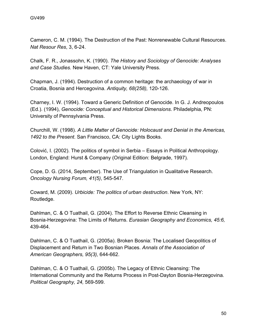Cameron, C. M. (1994). The Destruction of the Past: Nonrenewable Cultural Resources. *Nat Resour Res*, 3, 6-24.

Chalk, F. R., Jonassohn, K. (1990). *The History and Sociology of Genocide: Analyses and Case Studies.* New Haven, CT: Yale University Press.

Chapman, J. (1994). Destruction of a common heritage: the archaeology of war in Croatia, Bosnia and Hercegovina. *Antiquity, 68(258),* 120-126.

Charney, I. W. (1994). Toward a Generic Definition of Genocide. In G. J. Andreopoulos (Ed.). (1994), *Genocide: Conceptual and Historical Dimensions*. Philadelphia, PN: University of Pennsylvania Press.

Churchill, W. (1998). *A Little Matter of Genocide: Holocaust and Denial in the Americas, 1492 to the Present*. San Francisco, CA: City Lights Books.

Colović, I. (2002). The politics of symbol in Serbia – Essays in Political Anthropology. London, England: Hurst & Company (Original Edition: Belgrade, 1997).

Cope, D. G. (2014, September). The Use of Triangulation in Qualitative Research. *Oncology Nursing Forum, 41(5)*, 545-547.

Coward, M. (2009). *Urbicide: The politics of urban destruction*. New York, NY: Routledge.

Dahlman, C. & O Tuathail, G. (2004). The Effort to Reverse Ethnic Cleansing in Bosnia-Herzegovina: The Limits of Returns. *Eurasian Geography and Economics, 45:6,* 439-464.

Dahlman, C. & O Tuathail, G. (2005a). Broken Bosnia: The Localised Geopolitics of Displacement and Return in Two Bosnian Places. *Annals of the Association of American Geographers, 95(3),* 644-662.

Dahlman, C. & O Tuathail, G. (2005b). The Legacy of Ethnic Cleansing: The International Community and the Returns Process in Post-Dayton Bosnia-Herzegovina*. Political Geography, 24,* 569-599.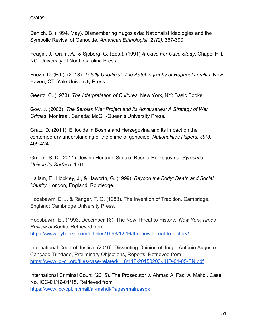Denich, B. (1994, May). Dismembering Yugoslavia: Nationalist Ideologies and the Symbolic Revival of Genocide. *American Ethnologist, 21(2),* 367-390.

Feagin, J., Orum. A., & Sjoberg, G. (Eds.). (1991) *A Case For Case Study*. Chapel Hill, NC: University of North Carolina Press.

Frieze, D. (Ed.). (2013). *Totally Unofficial: The Autobiography of Raphael Lemkin*. New Haven, CT: Yale University Press.

Geertz, C. (1973). *The Interpretation of Cultures*. New York, NY: Basic Books.

Gow, J. (2003). *The Serbian War Project and its Adversaries: A Strategy of War Crimes*. Montreal, Canada: McGill-Queen's University Press.

Gratz, D. (2011). Elitocide in Bosnia and Herzegovina and its impact on the contemporary understanding of the crime of genocide. *Nationalities Papers, 39(3),* 409-424.

Gruber, S. D. (2011). Jewish Heritage Sites of Bosnia-Herzegovina. *Syracuse University Surface*. 1-61.

Hallam, E., Hockley, J., & Haworth, G. (1999). *Beyond the Body: Death and Social Identity.* London, England: Routledge.

Hobsbawm, E. J. & Ranger, T. O. (1983). The Invention of Tradition. Cambridge, England: Cambridge University Press.

Hobsbawm, E., (1993, December 16). The New Threat to History,' *New York Times Review of Books*. Retrieved from <https://www.nybooks.com/articles/1993/12/16/the-new-threat-to-history/>

International Court of Justice. (2016). Dissenting Opinion of Judge Antônio Augusto Cançado Trindade, Preliminary Objections, Reports. Retrieved from <https://www.icj-cij.org/files/case-related/118/118-20150203-JUD-01-05-EN.pdf>

International Criminal Court. (2015). The Prosecutor v. Ahmad Al Faqi Al Mahdi. Case No. ICC-01/12-01/15. Retrieved from

<https://www.icc-cpi.int/mali/al-mahdi/Pages/main.aspx>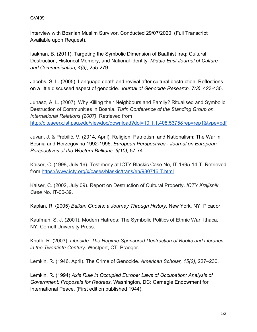Interview with Bosnian Muslim Survivor. Conducted 29/07/2020. (Full Transcript Available upon Request).

Isakhan, B. (2011). Targeting the Symbolic Dimension of Baathist Iraq: Cultural Destruction, Historical Memory, and National Identity. *Middle East Journal of Culture and Communication, 4(3)*, 255-279.

Jacobs, S. L. (2005). Language death and revival after cultural destruction: Reflections on a little discussed aspect of genocide. *Journal of Genocide Research, 7(3)*, 423-430.

Juhasz, A. L. (2007). Why Killing their Neighbours and Family? Ritualised and Symbolic Destruction of Communities in Bosnia. *Turin Conference of the Standing Group on International Relations (2007)*. Retrieved from <http://citeseerx.ist.psu.edu/viewdoc/download?doi=10.1.1.408.5375&rep=rep1&type=pdf>

Juvan, J. & Prebilić, V. (2014, April). Religion, Patriotism and Nationalism: The War in Bosnia and Herzegovina 1992-1995. *European Perspectives - Journal on European Perspectives of the Western Balkans, 6(10),* 57-74.

Kaiser, C. (1998, July 16). Testimony at ICTY Blaskic Case No, IT-1995-14-T. Retrieved from<https://www.icty.org/x/cases/blaskic/trans/en/980716IT.html>

Kaiser, C. (2002, July 09). Report on Destruction of Cultural Property. *ICTY Krajisnik Case* No. IT-00-39.

Kaplan, R. (2005) *Balkan Ghosts: a Journey Through History.* New York, NY: Picador.

Kaufman, S. J. (2001). Modern Hatreds: The Symbolic Politics of Ethnic War. Ithaca, NY: Cornell University Press.

Knuth, R. (2003). *Libricide: The Regime-Sponsored Destruction of Books and Libraries in the Twentieth Century.* Westport, CT: Praeger.

Lemkin, R. (1946, April). The Crime of Genocide. *American Scholar, 15(2)*, 227–230.

Lemkin, R. (1994) *Axis Rule in Occupied Europe: Laws of Occupation; Analysis of Government; Proposals for Redress*. Washington, DC: Carnegie Endowment for International Peace. (First edition published 1944).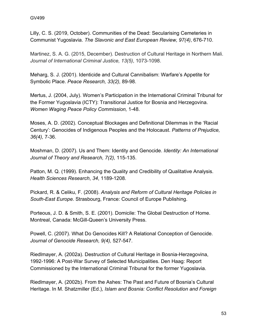Lilly, C. S. (2019, October). Communities of the Dead: Secularising Cemeteries in Communist Yugoslavia. *The Slavonic and East European Review, 97(4)*, 676-710.

Martinez, S. A. G. (2015, December). Destruction of Cultural Heritage in Northern Mali. *Journal of International Criminal Justice, 13(5)*, 1073-1098.

Meharg, S. J. (2001). Identicide and Cultural Cannibalism: Warfare's Appetite for Symbolic Place. *Peace Research, 33(2),* 89-98.

Mertus, J. (2004, July). Women's Participation in the International Criminal Tribunal for the Former Yugoslavia (ICTY): Transitional Justice for Bosnia and Herzegovina. *Women Waging Peace Policy Commission,* 1-48.

Moses, A. D. (2002). Conceptual Blockages and Definitional Dilemmas in the 'Racial Century': Genocides of Indigenous Peoples and the Holocaust. *Patterns of Prejudice, 36(4),* 7-36.

Moshman, D. (2007). Us and Them: Identity and Genocide. *Identity: An International Journal of Theory and Research, 7(2),* 115-135.

Patton, M. Q. (1999). Enhancing the Quality and Credibility of Qualitative Analysis. *Health Sciences Research*, *34*, 1189-1208.

Pickard, R. & Celiku, F. (2008). *Analysis and Reform of Cultural Heritage Policies in South-East Europe*. Strasbourg, France: Council of Europe Publishing.

Porteous, J. D. & Smith, S. E. (2001). Domicile: The Global Destruction of Home. Montreal, Canada: McGill-Queen's University Press.

Powell, C. (2007). What Do Genocides Kill? A Relational Conception of Genocide. *Journal of Genocide Research, 9(4),* 527-547.

Riedlmayer, A. (2002a). Destruction of Cultural Heritage in Bosnia-Herzegovina, 1992-1996: A Post-War Survey of Selected Municipalities. Den Haag: Report Commissioned by the International Criminal Tribunal for the former Yugoslavia.

Riedlmayer, A. (2002b). From the Ashes: The Past and Future of Bosnia's Cultural Heritage. In M. Shatzmiller (Ed.), *Islam and Bosnia: Conflict Resolution and Foreign*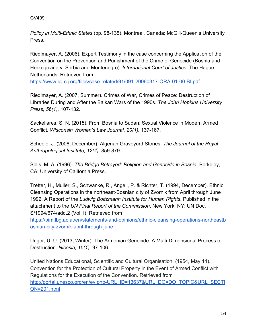*Policy in Multi-Ethnic States* (pp. 98-135). Montreal, Canada: McGill-Queen's University Press.

Riedlmayer, A. (2006). Expert Testimony in the case concerning the Application of the Convention on the Prevention and Punishment of the Crime of Genocide (Bosnia and Herzegovina v. Serbia and Montenegro). *International Court of Justice*. The Hague, Netherlands. Retrieved from

<https://www.icj-cij.org/files/case-related/91/091-20060317-ORA-01-00-BI.pdf>

Riedlmayer, A. (2007, Summer). Crimes of War, Crimes of Peace: Destruction of Libraries During and After the Balkan Wars of the 1990s. *The John Hopkins University Press, 56(1),* 107-132.

Sackellares, S. N. (2015). From Bosnia to Sudan: Sexual Violence in Modern Armed Conflict. *Wisconsin Women's Law Journal, 20(1),* 137-167.

Scheele, J. (2006, December). Algerian Graveyard Stories. *The Journal of the Royal Anthropological Institute, 12(4),* 859-879.

Sells, M. A. (1996). *The Bridge Betrayed: Religion and Genocide in Bosnia.* Berkeley, CA: University of California Press.

Tretter, H., Muller, S., Schwanke, R., Angeli, P. & Richter, T. (1994, December). Ethnic Cleansing Operations in the northeast-Bosnian city of Zvornik from April through June 1992. A Report of the *Ludwig Boltzmann Institute for Human Rights*. Published in the attachment to the *UN Final Report of the Commission*. New York, NY: UN Doc. S/1994/674/add.2 (Vol. I). Retrieved from

[https://bim.lbg.ac.at/en/statements-and-opinions/ethnic-cleansing-operations-northeastb](https://bim.lbg.ac.at/en/statements-and-opinions/ethnic-cleansing-operations-northeastbosnian-city-zvornik-april-through-june) [osnian-city-zvornik-april-through-june](https://bim.lbg.ac.at/en/statements-and-opinions/ethnic-cleansing-operations-northeastbosnian-city-zvornik-april-through-june)

Ungor, U. U. (2013, Winter). The Armenian Genocide: A Multi-Dimensional Process of Destruction. *Nicosia, 15(1),* 97-106.

United Nations Educational, Scientific and Cultural Organisation. (1954, May 14). Convention for the Protection of Cultural Property in the Event of Armed Conflict with Regulations for the Execution of the Convention. Retrieved from [http://portal.unesco.org/en/ev.php-URL\\_ID=13637&URL\\_DO=DO\\_TOPIC&URL\\_SECTI](http://portal.unesco.org/en/ev.php-URL_ID=13637&URL_DO=DO_TOPIC&URL_SECTION=201.html) [ON=201.html](http://portal.unesco.org/en/ev.php-URL_ID=13637&URL_DO=DO_TOPIC&URL_SECTION=201.html)